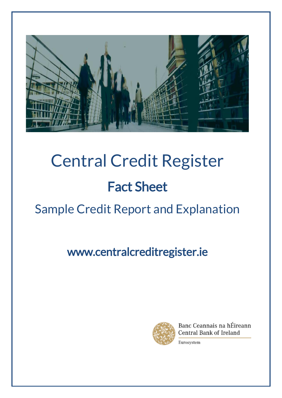

# Central Credit Register Fact Sheet

## Sample Credit Report and Explanation

www.centralcreditregister.ie



Banc Ceannais na hÉireann Central Bank of Ireland

Eurosystem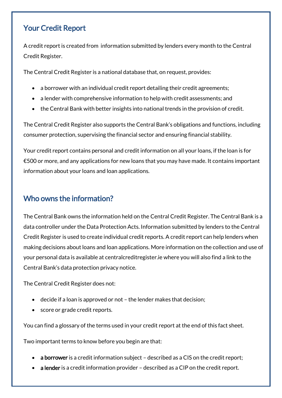#### Your Credit Report

A credit report is created from information submitted by lenders every month to the Central Credit Register.

The Central Credit Register is a national database that, on request, provides:

- a borrower with an individual credit report detailing their credit agreements;
- a lender with comprehensive information to help with credit assessments; and
- the Central Bank with better insights into national trends in the provision of credit.

The Central Credit Register also supports the Central Bank's obligations and functions, including consumer protection, supervising the financial sector and ensuring financial stability.

Your credit report contains personal and credit information on all your loans, if the loan is for €500 or more, and any applications for new loans that you may have made. It contains important information about your loans and loan applications.

### Who owns the information?

The Central Bank owns the information held on the Central Credit Register. The Central Bank is a data controller under the Data Protection Acts. Information submitted by lenders to the Central Credit Register is used to create individual credit reports. A credit report can help lenders when making decisions about loans and loan applications. More information on the collection and use of your personal data is available at centralcreditregister.ie where you will also find a link to the Central Bank's data protection privacy notice.

The Central Credit Register does not:

- decide if a loan is approved or not the lender makes that decision;
- score or grade credit reports.

You can find a glossary of the terms used in your credit report at the end of this fact sheet.

Two important terms to know before you begin are that:

- a borrower is a credit information subject described as a CIS on the credit report;
- a lender is a credit information provider described as a CIP on the credit report.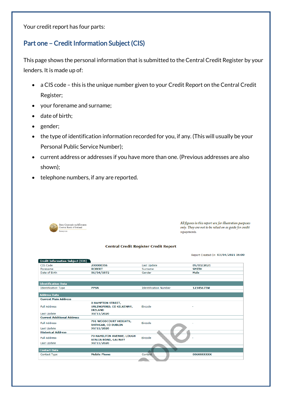Your credit report has four parts:

#### Part one – Credit Information Subject (CIS)

This page shows the personal information that is submitted to the Central Credit Register by your lenders. It is made up of:

- a CIS code this is the unique number given to your Credit Report on the Central Credit Register;
- your forename and surname;
- date of birth;
- gender;
- the type of identification information recorded for you, if any. (This will usually be your Personal Public Service Number);
- current address or addresses if you have more than one. (Previous addresses are also shown);
- telephone numbers, if any are reported.



All figures in this report are for illustration purposes only. They are not to be relied on as guide for credit repayments.

#### **Central Credit Register Credit Report**

Report Created On 03/04/2021 16:00

| <b>Credit Information Subject (CIS)</b> |                            |                              |              |
|-----------------------------------------|----------------------------|------------------------------|--------------|
| CIS Code                                | 200000316                  | Last Update                  | 05/03/2021   |
| Forename                                | <b>ROBERT</b>              | Surname                      | <b>SMITH</b> |
| Date of Birth                           | 06/04/1972                 | Gender                       | Male         |
|                                         |                            |                              |              |
|                                         |                            |                              |              |
| <b>Identification Data</b>              |                            |                              |              |
| <b>Identification Type</b>              | <b>PPSN</b>                | <b>Identification Number</b> | 1234567TW    |
|                                         |                            |                              |              |
| <b>Address Data</b>                     |                            |                              |              |
| <b>Current Main Address</b>             |                            |                              |              |
|                                         | <b>8 HAMPTON STREET,</b>   |                              |              |
| <b>Full Address</b>                     | URLINGFORD, CO KILKENNY,   | Eircode                      |              |
|                                         | <b>IRELAND</b>             |                              |              |
| Last Update                             | 30/11/2020                 |                              |              |
| <b>Current Additional Address</b>       |                            |                              |              |
| <b>Full Address</b>                     | 701 WOODCOURT HEIGHTS,     | Eircode                      |              |
|                                         | <b>RATHGAR, CO DUBLIN</b>  |                              |              |
| Last Update                             | 30/11/2020                 |                              |              |
| <b>Historical Address</b>               |                            |                              |              |
| <b>Full Address</b>                     | 70 HAMILTON AVENUE, LOUGH  | Eircode                      |              |
|                                         | <b>ATALIA ROAD, GALWAY</b> |                              |              |
| Last Update                             | 30/11/2020                 |                              |              |
|                                         |                            |                              |              |
| <b>Contact Data</b>                     |                            |                              |              |
| <b>Contact Type</b>                     | <b>Mobile Phone</b>        | Contact                      | 086XXXXXXX   |
|                                         |                            |                              |              |
|                                         |                            |                              |              |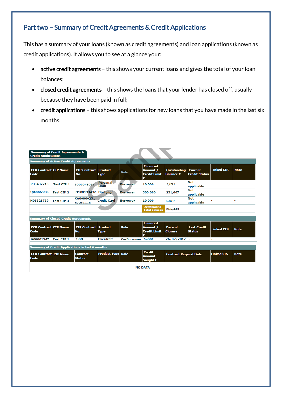#### Part two – Summary of Credit Agreements & Credit Applications

This has a summary of your loans (known as credit agreements) and loan applications (known as credit applications). It allows you to see at a glance your:

- active credit agreements this shows your current loans and gives the total of your loan balances;
- closed credit agreements this shows the loans that your lender has closed off, usually because they have been paid in full;
- credit applications this shows applications for new loans that you have made in the last six months.

| <b>Summary of Credit Agreements &amp;</b><br><b>Credit Applications</b> |                   |                                      |                          |                    |                                                                 |                                                                  |                                        |                   |             |
|-------------------------------------------------------------------------|-------------------|--------------------------------------|--------------------------|--------------------|-----------------------------------------------------------------|------------------------------------------------------------------|----------------------------------------|-------------------|-------------|
| <b>Summary of Active Credit Agreements</b>                              |                   |                                      |                          |                    |                                                                 |                                                                  |                                        |                   |             |
| <b>CCR Contract CIP Name</b><br>Code                                    |                   | <b>CIP Contract   Product</b><br>No. | <b>Type</b>              | Role               | <b>Financed</b><br><b>Amount /</b><br><b>Credit Limit</b><br>€  | <b>Outstanding</b><br><b>Balance €</b>                           | <b>Current</b><br><b>Credit Status</b> | <b>Linked CIS</b> | <b>Note</b> |
| P35437710                                                               | <b>Test CIP 1</b> | 8000045086                           | Personal<br>Loan         | <b>Borrower</b>    | 10,000                                                          | 7,897                                                            | <b>Not</b><br>applicable               |                   |             |
| Q00002036                                                               | <b>Test CIP 2</b> | M100133432 Mortgage                  |                          | <b>Borrower</b>    | 300,000                                                         | 251,667                                                          | <b>Not</b><br>applicable               |                   |             |
| H06821789                                                               | <b>Test CIP 3</b> | CA00000231<br>67281116               | <b>Credit Card</b>       | <b>Borrower</b>    | 10,000                                                          | 6,879                                                            | <b>Not</b><br>applicable               |                   |             |
|                                                                         |                   |                                      |                          |                    | Outstanding<br><b>Total Balance</b>                             | 266,443                                                          |                                        |                   |             |
| <b>Summary of Closed Credit Agreements</b>                              |                   |                                      |                          |                    |                                                                 |                                                                  |                                        |                   |             |
| <b>CCR Contract CIP Name</b><br>Code                                    |                   | <b>CIP Contract   Product</b><br>No. | <b>Type</b>              | Role               | <b>Financed</b><br><b>Amount /</b><br><b>Credit Limit</b><br>ŧ. | Date of<br><b>Closure</b>                                        | <b>Last Credit</b><br><b>Status</b>    | <b>Linked CIS</b> | <b>Note</b> |
| G00001547                                                               | <b>Test CIP 1</b> | 4001                                 | <b>Overdraft</b>         | <b>Co-Borrower</b> | 5,000                                                           | $26/07/2017$ -                                                   |                                        | $\overline{a}$    | ٠           |
| <b>Summary of Credit Applications in last 6 months</b>                  |                   |                                      |                          |                    |                                                                 |                                                                  |                                        |                   |             |
| <b>CCR Contract CIP Name</b><br>Code                                    |                   | <b>Contract</b><br><b>Status</b>     | <b>Product Type Role</b> |                    | <b>Credit</b><br><b>Amount</b><br>Sought $\epsilon$             | <b>Linked CIS</b><br><b>Note</b><br><b>Contract Request Date</b> |                                        |                   |             |
| <b>NO DATA</b>                                                          |                   |                                      |                          |                    |                                                                 |                                                                  |                                        |                   |             |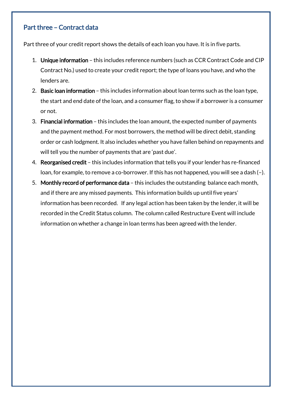#### Part three – Contract data

Part three of your credit report shows the details of each loan you have. It is in five parts.

- 1. Unique information this includes reference numbers (such as CCR Contract Code and CIP Contract No.) used to create your credit report; the type of loans you have, and who the lenders are.
- 2. Basic loan information this includes information about loan terms such as the loan type, the start and end date of the loan, and a consumer flag, to show if a borrower is a consumer or not.
- 3. Financial information this includes the loan amount, the expected number of payments and the payment method. For most borrowers, the method will be direct debit, standing order or cash lodgment. It also includes whether you have fallen behind on repayments and will tell you the number of payments that are 'past due'.
- 4. Reorganised credit this includes information that tells you if your lender has re-financed loan, for example, to remove a co-borrower. If this has not happened, you will see a dash (–).
- 5. Monthly record of performance data this includes the outstanding balance each month, and if there are any missed payments. This information builds up until five years' information has been recorded. If any legal action has been taken by the lender, it will be recorded in the Credit Status column. The column called Restructure Event will include information on whether a change in loan terms has been agreed with the lender.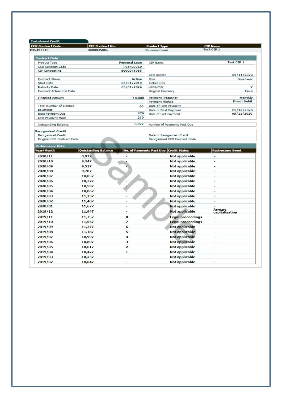| <b>Instalment Credit</b>                     |                            |                         |                                        |                                  |
|----------------------------------------------|----------------------------|-------------------------|----------------------------------------|----------------------------------|
| <b>CCR Contract Code</b>                     | <b>CIP Contract No.</b>    |                         | <b>Product Type</b>                    | <b>CIP Name</b>                  |
| P35437710                                    | 8000045086                 |                         | <b>Personal Loan</b>                   | <b>Test CIP 1</b>                |
|                                              |                            |                         |                                        |                                  |
| <b>Contract Data</b>                         |                            |                         |                                        |                                  |
| Product Type                                 |                            | <b>Personal Loan</b>    | <b>CIP Name</b>                        | <b>Test CIP 1</b>                |
| <b>CCR Contract Code</b><br>CIP Contract No. |                            | P35437710<br>8000045086 |                                        |                                  |
|                                              |                            |                         | Last Update                            | 05/11/2020                       |
| <b>Contract Phase</b>                        |                            | <b>Active</b>           | Role                                   | <b>Borrower</b>                  |
| <b>Start Date</b>                            |                            | 05/01/2019              | Linked CIS                             |                                  |
| <b>Maturity Date</b>                         |                            | 05/01/2024              | Consumer                               | Y                                |
| <b>Contract Actual End Date</b>              |                            |                         | <b>Original Currency</b>               | Euro                             |
| <b>Financed Amount</b>                       |                            | 10,000                  | <b>Payment Frequency</b>               | Monthly                          |
|                                              |                            |                         | <b>Payment Method</b>                  | <b>Direct Debit</b>              |
| <b>Total Number of planned</b>               |                            | 60                      | Date of First Payment                  |                                  |
| payments                                     |                            |                         | Date of Next Payment                   | 05/12/2020                       |
| <b>Next Payment Due</b>                      |                            | 270                     | Date of Last Payment                   | 05/11/2020                       |
| Last Payment Made                            |                            | 270                     |                                        |                                  |
| <b>Outstanding Balance</b>                   |                            | 8,977                   | Number of Payments Past Due            | $\mathbf{r}$                     |
|                                              |                            |                         |                                        |                                  |
| <b>Reorganised Credit</b>                    |                            |                         |                                        |                                  |
| <b>Reorganised Credit</b>                    |                            |                         | Date of Reorganised Credit             |                                  |
| Original CCR Contract Code                   |                            |                         | Reorganised CCR Contract Code          |                                  |
| <b>Performance Data</b>                      |                            |                         |                                        |                                  |
| <b>Year/Month</b>                            | <b>Outstanding Balance</b> |                         | No. of Payments Past Due Credit Status | <b>Restructure Event</b>         |
| 2020/11                                      | 8,977                      |                         | Not applicable                         |                                  |
| 2020/10                                      | 9,247                      |                         | <b>Not applicable</b>                  | ÷.                               |
| 2020/09                                      | 9,517                      |                         | <b>Not applicable</b>                  |                                  |
| 2020/08                                      | 9,787                      |                         | <b>Not applicable</b>                  |                                  |
|                                              |                            |                         |                                        | $\overline{a}$                   |
| 2020/07                                      | 10,057                     |                         | Not applicable                         |                                  |
| 2020/06                                      | 10,327                     |                         | <b>Not applicable</b>                  | $\overline{a}$                   |
| 2020/05                                      | 10,597                     |                         | Not applicable                         | ÷                                |
| 2020/04                                      | 10,867                     |                         | <b>Not applicable</b>                  | L,                               |
| 2020/03                                      | 11,137                     |                         | Not applicable                         | $\overline{a}$                   |
| 2020/02                                      | 11,407                     |                         | <b>Not applicable</b>                  |                                  |
| 2020/01                                      | 11,677                     |                         | <b>Not applicable</b>                  |                                  |
| 2019/12                                      | 11,947                     | ÷,                      | <b>Not applicable</b>                  | <b>Arrears</b><br>capitalisation |
|                                              |                            | 8                       |                                        | $\overline{a}$                   |
| 2019/11                                      | 11,757                     |                         | <b>Legal proceedings</b>               | $\overline{\phantom{0}}$         |
| 2019/10                                      | 11,567                     | 7                       | Legal proceedings                      |                                  |
| 2019/09                                      | 11,377                     | 6                       | <b>Not applicable</b>                  | $\overline{a}$                   |
| 2019/08                                      | 11,187                     | 5                       | Not applicable                         |                                  |
| 2019/07                                      | 10,997                     | 4                       | <b>Not applicable</b>                  | $\overline{\phantom{0}}$         |
| 2019/06                                      | 10,807                     | з                       | Not applicable                         | $\overline{a}$                   |
| 2019/05                                      | 10,617                     | 2                       | <b>Not applicable</b>                  |                                  |
| 2019/04                                      | 10,427                     | 1                       | <b>Not applicable</b>                  | $\overline{\phantom{0}}$         |
| 2019/03                                      | 10,237                     |                         | Not applicable                         |                                  |
| 2019/02                                      | 10,047                     |                         | <b>Not applicable</b>                  |                                  |
|                                              |                            |                         |                                        |                                  |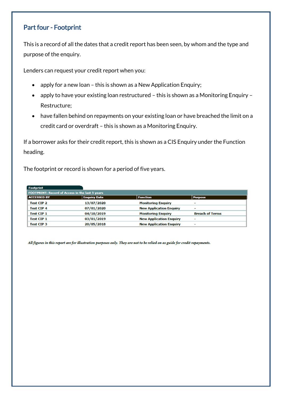#### Part four - Footprint

This is a record of all the dates that a credit report has been seen, by whom and the type and purpose of the enquiry.

Lenders can request your credit report when you:

- apply for a new loan this is shown as a New Application Enquiry;
- apply to have your existing loan restructured this is shown as a Monitoring Enquiry Restructure;
- have fallen behind on repayments on your existing loan or have breached the limit on a credit card or overdraft – this is shown as a Monitoring Enquiry.

If a borrower asks for their credit report, this is shown as a CIS Enquiry under the Function heading.

The footprint or record is shown for a period of five years.

| Footprint                                       |                     |                                |                          |  |
|-------------------------------------------------|---------------------|--------------------------------|--------------------------|--|
| FOOTPRINT: Record of Access in the last 5 years |                     |                                |                          |  |
| <b>ACCESSED BY</b>                              | <b>Enquiry Date</b> | <b>Function</b>                | <b>Purpose</b>           |  |
| <b>Test CIP 2</b>                               | 13/07/2020          | <b>Monitoring Enquiry</b>      | $\overline{\phantom{a}}$ |  |
| <b>Test CIP 4</b>                               | 07/01/2020          | <b>New Application Enquiry</b> | $\overline{\phantom{0}}$ |  |
| <b>Test CIP 1</b>                               | 04/10/2019          | <b>Monitoring Enquiry</b>      | <b>Breach of Terms</b>   |  |
| <b>Test CIP 1</b>                               | 03/01/2019          | <b>New Application Enquiry</b> | $\overline{\phantom{a}}$ |  |
| <b>Test CIP 3</b>                               | 20/05/2018          | <b>New Application Enquiry</b> | $\overline{\phantom{a}}$ |  |

All figures in this report are for illustration purposes only. They are not to be relied on as guide for credit repayments.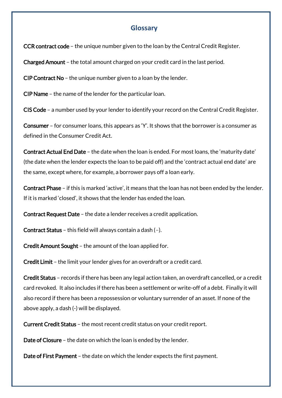#### **Glossary**

CCR contract code – the unique number given to the loan by the Central Credit Register.

Charged Amount – the total amount charged on your credit card in the last period.

CIP Contract No – the unique number given to a loan by the lender.

CIP Name – the name of the lender for the particular loan.

CIS Code – a number used by your lender to identify your record on the Central Credit Register.

Consumer – for consumer loans, this appears as 'Y'. It shows that the borrower is a consumer as defined in the Consumer Credit Act.

Contract Actual End Date – the date when the loan is ended. For most loans, the 'maturity date' (the date when the lender expects the loan to be paid off) and the 'contract actual end date' are the same, except where, for example, a borrower pays off a loan early.

Contract Phase – if this is marked 'active', it means that the loan has not been ended by the lender. If it is marked 'closed', it shows that the lender has ended the loan.

Contract Request Date – the date a lender receives a credit application.

Contract Status – this field will always contain a dash (–).

Credit Amount Sought – the amount of the loan applied for.

Credit Limit – the limit your lender gives for an overdraft or a credit card.

Credit Status – records if there has been any legal action taken, an overdraft cancelled, or a credit card revoked. It also includes if there has been a settlement or write-off of a debt. Finally it will also record if there has been a repossession or voluntary surrender of an asset. If none of the above apply, a dash (-) will be displayed.

Current Credit Status – the most recent credit status on your credit report.

Date of Closure – the date on which the loan is ended by the lender.

Date of First Payment – the date on which the lender expects the first payment.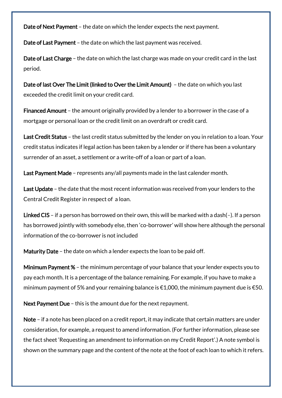Date of Next Payment - the date on which the lender expects the next payment.

Date of Last Payment – the date on which the last payment was received.

Date of Last Charge - the date on which the last charge was made on your credit card in the last period.

Date of last Over The Limit (linked to Over the Limit Amount) – the date on which you last exceeded the credit limit on your credit card.

Financed Amount – the amount originally provided by a lender to a borrower in the case of a mortgage or personal loan or the credit limit on an overdraft or credit card.

Last Credit Status - the last credit status submitted by the lender on you in relation to a loan. Your credit status indicates if legal action has been taken by a lender or if there has been a voluntary surrender of an asset, a settlement or a write-off of a loan or part of a loan.

Last Payment Made - represents any/all payments made in the last calender month.

Last Update – the date that the most recent information was received from your lenders to the Central Credit Register in respect of a loan.

Linked CIS – if a person has borrowed on their own, this will be marked with a dash( $-$ ). If a person has borrowed jointly with somebody else, then 'co-borrower' will show here although the personal information of the co-borrower is not included

Maturity Date – the date on which a lender expects the loan to be paid off.

Minimum Payment % – the minimum percentage of your balance that your lender expects you to pay each month. It is a percentage of the balance remaining. For example, if you have to make a minimum payment of 5% and your remaining balance is  $\epsilon$ 1,000, the minimum payment due is  $\epsilon$ 50.

Next Payment Due – this is the amount due for the next repayment.

Note – if a note has been placed on a credit report, it may indicate that certain matters are under consideration, for example, a request to amend information. (For further information, please see the fact sheet 'Requesting an amendment to information on my Credit Report'.) A note symbol is shown on the summary page and the content of the note at the foot of each loan to which it refers.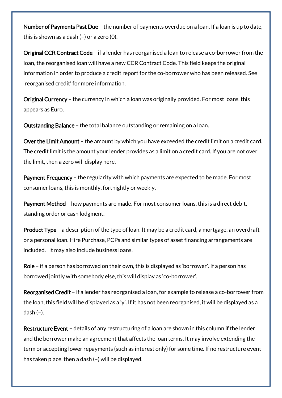Number of Payments Past Due - the number of payments overdue on a loan. If a loan is up to date, this is shown as a dash (–) or a zero (0).

Original CCR Contract Code – if a lender has reorganised a loan to release a co-borrower from the loan, the reorganised loan will have a new CCR Contract Code. This field keeps the original information in order to produce a credit report for the co-borrower who has been released. See 'reorganised credit' for more information.

Original Currency – the currency in which a loan was originally provided. For most loans, this appears as Euro.

Outstanding Balance – the total balance outstanding or remaining on a loan.

Over the Limit Amount – the amount by which you have exceeded the credit limit on a credit card. The credit limit is the amount your lender provides as a limit on a credit card. If you are not over the limit, then a zero will display here.

Payment Frequency – the regularity with which payments are expected to be made. For most consumer loans, this is monthly, fortnightly or weekly.

Payment Method – how payments are made. For most consumer loans, this is a direct debit, standing order or cash lodgment.

Product Type - a description of the type of loan. It may be a credit card, a mortgage, an overdraft or a personal loan. Hire Purchase, PCPs and similar types of asset financing arrangements are included. It may also include business loans.

Role – if a person has borrowed on their own, this is displayed as 'borrower'. If a person has borrowed jointly with somebody else, this will display as 'co-borrower'.

Reorganised Credit – if a lender has reorganised a loan, for example to release a co-borrower from the loan, this field will be displayed as a 'y'. If it has not been reorganised, it will be displayed as a dash  $(-)$ .

Restructure Event - details of any restructuring of a loan are shown in this column if the lender and the borrower make an agreement that affects the loan terms. It may involve extending the term or accepting lower repayments (such as interest only) for some time. If no restructure event has taken place, then a dash (–) will be displayed.